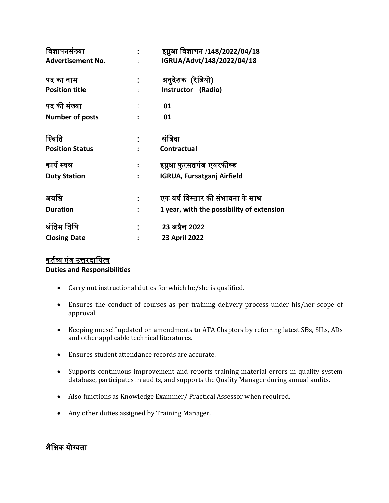| विज्ञापनसंख्या           |                | इग्नुआ विज्ञापन /148/2022/04/18           |
|--------------------------|----------------|-------------------------------------------|
| <b>Advertisement No.</b> |                | IGRUA/Advt/148/2022/04/18                 |
| पद का नाम                |                | अनुदेशक (रेडियो)                          |
| <b>Position title</b>    |                | Instructor (Radio)                        |
| पद की संख्या             |                | 01                                        |
| Number of posts          |                | 01                                        |
| स्थिति                   |                | संविदा                                    |
| <b>Position Status</b>   |                | <b>Contractual</b>                        |
| कार्य स्थल               | $\ddot{\cdot}$ | इग्नुआ फुरसतगंज एयरफील्ड                  |
| <b>Duty Station</b>      | $\ddot{\cdot}$ | <b>IGRUA, Fursatganj Airfield</b>         |
| अवधि                     |                | एक वर्ष विस्तार की संभावना के साथ         |
| <b>Duration</b>          |                | 1 year, with the possibility of extension |
| अंतिम तिथि               |                | 23 अप्रैल 2022                            |
|                          |                |                                           |
| <b>Closing Date</b>      |                | 23 April 2022                             |

## कर्तव्य एंव उत्तरदायित्व **Duties and Responsibilities**

- Carry out instructional duties for which he/she is qualified.
- Ensures the conduct of courses as per training delivery process under his/her scope of approval
- Keeping oneself updated on amendments to ATA Chapters by referring latest SBs, SILs, ADs and other applicable technical literatures.
- Ensures student attendance records are accurate.
- Supports continuous improvement and reports training material errors in quality system database, participates in audits, and supports the Quality Manager during annual audits.
- Also functions as Knowledge Examiner/ Practical Assessor when required.
- Any other duties assigned by Training Manager.

## शैविक योग्यिा